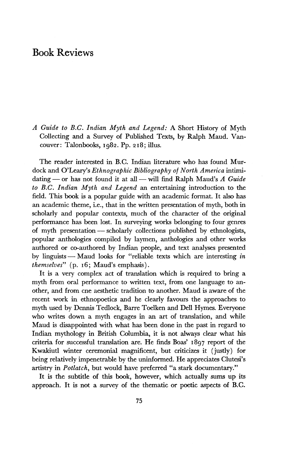## Book Reviews

*A Guide to B.C. Indian Myth and Legend:* A Short History of Myth Collecting and a Survey of Published Texts, by Ralph Maud. Vancouver: Talonbooks, 1982. Pp. 218; illus.

The reader interested in B.C. Indian literature who has found Murdock and O'Leary's *Ethnographic Bibliography of North America* intimidating — or has not found it at all — will find Ralph Maud's A Guide *to B.C. Indian Myth and Legend* an entertaining introduction to the field. This book is a popular guide with an academic format. It also has an academic theme, i.e., that in the written presentation of myth, both in scholarly and popular contexts, much of the character of the original performance has been lost. In surveying works belonging to four genres of myth presentation — scholarly collections published by ethnologists, popular anthologies compiled by laymen, anthologies and other works authored or co-authored by Indian people, and text analyses presented by linguists — Maud looks for "reliable texts which are interesting *in themselves"* (p. 16; Maud's emphasis).

It is a very complex act of translation which is required to bring a myth from oral performance to written text, from one language to another, and from cne aesthetic tradition to another. Maud is aware of the recent work in ethnopoetics and he clearly favours the approaches to myth used by Dennis Tedlock, Barre Toelken and Dell Hymes. Everyone who writes down a myth engages in an art of translation, and while Maud is disappointed with what has been done in the past in regard to Indian mythology in British Columbia, it is not always clear what his criteria for successful translation are. He finds Boas' 1897 report of the Kwakiutl winter ceremonial magnificent, but criticizes it (justly) for being relatively impenetrable by the uninformed. He appreciates Clutesi's artistry in *Potlatch,* but would have preferred "a stark documentary."

It is the subtitle of this book, however, which actually sums up its approach. It is not a survey of the thematic or poetic aspects of B.C.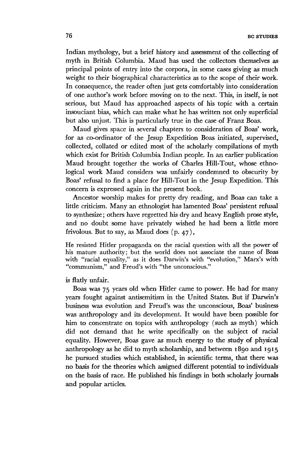Indian mythology, but a brief history and assessment of the collecting of myth in British Columbia. Maud has used the collectors themselves as principal points of entry into the corpora, in some cases giving as much weight to their biographical characteristics as to the scope of their work. In consequence, the reader often just gets comfortably into consideration of one author's work before moving on to the next. This, in itself, is not serious, but Maud has approached aspects of his topic with a certain insouciant bias, which can make what he has written not only superficial but also unjust. This is particularly true in the case of Franz Boas.

Maud gives space in several chapters to consideration of Boas' work, for as co-ordinator of the Jesup Expedition Boas initiated, supervised, collected, collated or edited most of the scholarly compilations of myth which exist for British Columbia Indian people. In an earlier publication Maud brought together the works of Charles Hill-Tout, whose ethnological work Maud considers was unfairly condemned to obscurity by Boas' refusal to find a place for Hill-Tout in the Jesup Expedition. This concern is expressed again in the present book.

Ancestor worship makes for pretty dry reading, and Boas can take a little criticism. Many an ethnologist has lamented Boas' persistent refusal to synthesize; others have regretted his dry and heavy English prose style, and no doubt some have privately wished he had been a little more frivolous. But to say, as Maud does (p. 47),

He resisted Hitler propaganda on the racial question with all the power of his mature authority; but the world does not associate the name of Boas with "racial equality," as it does Darwin's with "evolution," Marx's with "communism," and Freud's with "the unconscious."

is flatly unfair.

Boas was 75 years old when Hitler came to power. He had for many years fought against antisemitism in the United States. But if Darwin's business was evolution and Freud's was the unconscious, Boas' business was anthropology and its development. It would have been possible for him to concentrate on topics with anthropology (such as myth) which did not demand that he write specifically on the subject of racial equality. However, Boas gave as much energy to the study of physical anthropology as he did to myth scholarship, and between 1890 and 1915 he pursued studies which established, in scientific terms, that there was no basis for the theories which assigned different potential to individuals on the basis of race. He published his findings in both scholarly journals and popular articles.